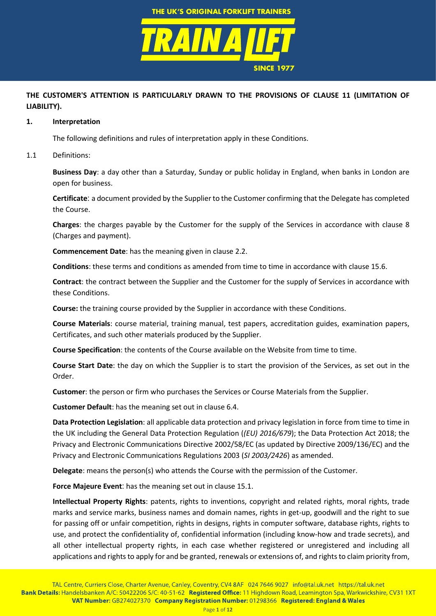

# **THE CUSTOMER'S ATTENTION IS PARTICULARLY DRAWN TO THE PROVISIONS OF CLAUSE [11](#page-6-0) (LIMITATION OF LIABILITY).**

#### **1. Interpretation**

The following definitions and rules of interpretation apply in these Conditions.

### 1.1 Definitions:

**Business Day**: a day other than a Saturday, Sunday or public holiday in England, when banks in London are open for business.

**Certificate**: a document provided by the Supplier to the Customer confirming that the Delegate has completed the Course.

**Charges**: the charges payable by the Customer for the supply of the Services in accordance with clause [8](#page-4-0) (Charges and payment).

**Commencement Date**: has the meaning given in clause [2.2.](#page-1-0)

**Conditions**: these terms and conditions as amended from time to time in accordance with clause [15.6.](#page-10-0)

**Contract**: the contract between the Supplier and the Customer for the supply of Services in accordance with these Conditions.

**Course:** the training course provided by the Supplier in accordance with these Conditions.

**Course Materials**: course material, training manual, test papers, accreditation guides, examination papers, Certificates, and such other materials produced by the Supplier.

**Course Specification**: the contents of the Course available on the Website from time to time.

**Course Start Date**: the day on which the Supplier is to start the provision of the Services, as set out in the Order.

**Customer**: the person or firm who purchases the Services or Course Materials from the Supplier.

**Customer Default**: has the meaning set out in claus[e 6.4.](#page-3-0)

**Data Protection Legislation**: all applicable data protection and privacy legislation in force from time to time in the UK including the General Data Protection Regulation (*(EU) 2016/679*); the Data Protection Act 2018; the Privacy and Electronic Communications Directive 2002/58/EC (as updated by Directive 2009/136/EC) and the Privacy and Electronic Communications Regulations 2003 (*SI 2003/2426*) as amended.

**Delegate**: means the person(s) who attends the Course with the permission of the Customer.

**Force Majeure Event**: has the meaning set out in claus[e 15.1.](#page-9-0)

**Intellectual Property Rights**: patents, rights to inventions, copyright and related rights, moral rights, trade marks and service marks, business names and domain names, rights in get-up, goodwill and the right to sue for passing off or unfair competition, rights in designs, rights in computer software, database rights, rights to use, and protect the confidentiality of, confidential information (including know-how and trade secrets), and all other intellectual property rights, in each case whether registered or unregistered and including all applications and rights to apply for and be granted, renewals or extensions of, and rights to claim priority from,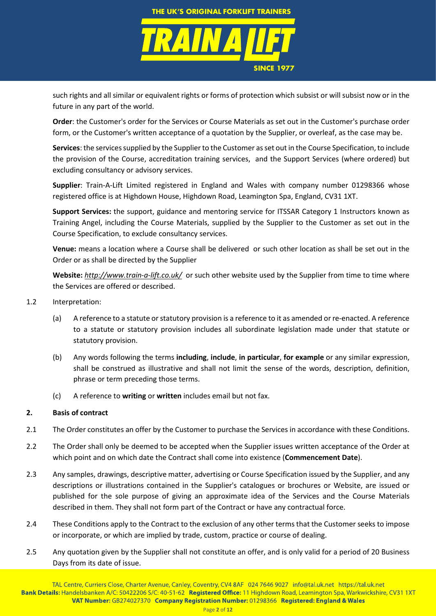

such rights and all similar or equivalent rights or forms of protection which subsist or will subsist now or in the future in any part of the world.

**Order**: the Customer's order for the Services or Course Materials as set out in the Customer's purchase order form, or the Customer's written acceptance of a quotation by the Supplier, or overleaf, as the case may be.

Services: the services supplied by the Supplier to the Customer as set out in the Course Specification, to include the provision of the Course, accreditation training services, and the Support Services (where ordered) but excluding consultancy or advisory services.

**Supplier**: Train-A-Lift Limited registered in England and Wales with company number 01298366 whose registered office is at Highdown House, Highdown Road, Leamington Spa, England, CV31 1XT.

**Support Services:** the support, guidance and mentoring service for ITSSAR Category 1 Instructors known as Training Angel, including the Course Materials, supplied by the Supplier to the Customer as set out in the Course Specification, to exclude consultancy services.

**Venue:** means a location where a Course shall be delivered or such other location as shall be set out in the Order or as shall be directed by the Supplier

**Website:** *<http://www.train-a-lift.co.uk/>* or such other website used by the Supplier from time to time where the Services are offered or described.

- 1.2 Interpretation:
	- (a) A reference to a statute or statutory provision is a reference to it as amended or re-enacted. A reference to a statute or statutory provision includes all subordinate legislation made under that statute or statutory provision.
	- (b) Any words following the terms **including**, **include**, **in particular**, **for example** or any similar expression, shall be construed as illustrative and shall not limit the sense of the words, description, definition, phrase or term preceding those terms.
	- (c) A reference to **writing** or **written** includes email but not fax.

# **2. Basis of contract**

- 2.1 The Order constitutes an offer by the Customer to purchase the Services in accordance with these Conditions.
- <span id="page-1-0"></span>2.2 The Order shall only be deemed to be accepted when the Supplier issues written acceptance of the Order at which point and on which date the Contract shall come into existence (**Commencement Date**).
- 2.3 Any samples, drawings, descriptive matter, advertising or Course Specification issued by the Supplier, and any descriptions or illustrations contained in the Supplier's catalogues or brochures or Website, are issued or published for the sole purpose of giving an approximate idea of the Services and the Course Materials described in them. They shall not form part of the Contract or have any contractual force.
- 2.4 These Conditions apply to the Contract to the exclusion of any other terms that the Customer seeks to impose or incorporate, or which are implied by trade, custom, practice or course of dealing.
- 2.5 Any quotation given by the Supplier shall not constitute an offer, and is only valid for a period of 20 Business Days from its date of issue.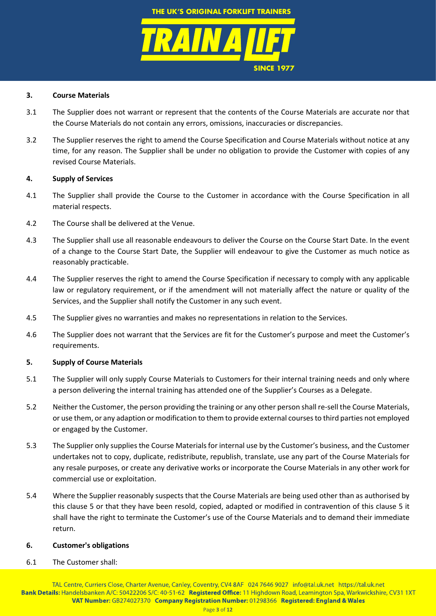

# **3. Course Materials**

- 3.1 The Supplier does not warrant or represent that the contents of the Course Materials are accurate nor that the Course Materials do not contain any errors, omissions, inaccuracies or discrepancies.
- 3.2 The Supplier reserves the right to amend the Course Specification and Course Materials without notice at any time, for any reason. The Supplier shall be under no obligation to provide the Customer with copies of any revised Course Materials.

# **4. Supply of Services**

- 4.1 The Supplier shall provide the Course to the Customer in accordance with the Course Specification in all material respects.
- 4.2 The Course shall be delivered at the Venue.
- 4.3 The Supplier shall use all reasonable endeavours to deliver the Course on the Course Start Date. In the event of a change to the Course Start Date, the Supplier will endeavour to give the Customer as much notice as reasonably practicable.
- 4.4 The Supplier reserves the right to amend the Course Specification if necessary to comply with any applicable law or regulatory requirement, or if the amendment will not materially affect the nature or quality of the Services, and the Supplier shall notify the Customer in any such event.
- 4.5 The Supplier gives no warranties and makes no representations in relation to the Services.
- 4.6 The Supplier does not warrant that the Services are fit for the Customer's purpose and meet the Customer's requirements.

## <span id="page-2-0"></span>**5. Supply of Course Materials**

- 5.1 The Supplier will only supply Course Materials to Customers for their internal training needs and only where a person delivering the internal training has attended one of the Supplier's Courses as a Delegate.
- 5.2 Neither the Customer, the person providing the training or any other person shall re-sell the Course Materials, or use them, or any adaption or modification to them to provide external courses to third parties not employed or engaged by the Customer.
- 5.3 The Supplier only supplies the Course Materialsfor internal use by the Customer's business, and the Customer undertakes not to copy, duplicate, redistribute, republish, translate, use any part of the Course Materials for any resale purposes, or create any derivative works or incorporate the Course Materials in any other work for commercial use or exploitation.
- 5.4 Where the Supplier reasonably suspects that the Course Materials are being used other than as authorised by this clause [5](#page-2-0) or that they have been resold, copied, adapted or modified in contravention of this clause [5](#page-2-0) it shall have the right to terminate the Customer's use of the Course Materials and to demand their immediate return.

## **6. Customer's obligations**

6.1 The Customer shall: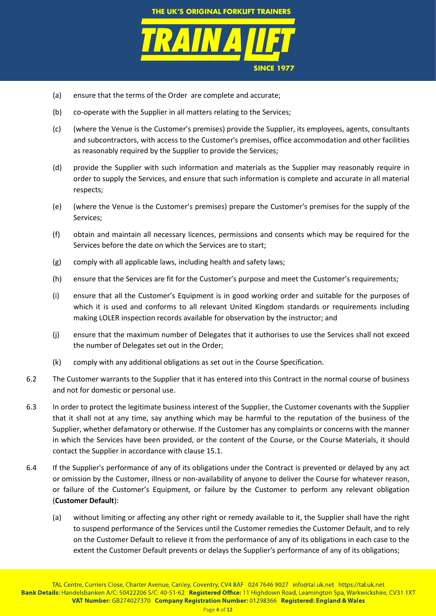

- (a) ensure that the terms of the Order are complete and accurate;
- (b) co-operate with the Supplier in all matters relating to the Services;
- (c) (where the Venue is the Customer's premises) provide the Supplier, its employees, agents, consultants and subcontractors, with access to the Customer's premises, office accommodation and other facilities as reasonably required by the Supplier to provide the Services;
- (d) provide the Supplier with such information and materials as the Supplier may reasonably require in order to supply the Services, and ensure that such information is complete and accurate in all material respects;
- (e) (where the Venue is the Customer's premises) prepare the Customer's premises for the supply of the Services;
- (f) obtain and maintain all necessary licences, permissions and consents which may be required for the Services before the date on which the Services are to start;
- (g) comply with all applicable laws, including health and safety laws;
- (h) ensure that the Services are fit for the Customer's purpose and meet the Customer's requirements;
- (i) ensure that all the Customer's Equipment is in good working order and suitable for the purposes of which it is used and conforms to all relevant United Kingdom standards or requirements including making LOLER inspection records available for observation by the instructor; and
- (j) ensure that the maximum number of Delegates that it authorises to use the Services shall not exceed the number of Delegates set out in the Order;
- (k) comply with any additional obligations as set out in the Course Specification.
- 6.2 The Customer warrants to the Supplier that it has entered into this Contract in the normal course of business and not for domestic or personal use.
- 6.3 In order to protect the legitimate business interest of the Supplier, the Customer covenants with the Supplier that it shall not at any time, say anything which may be harmful to the reputation of the business of the Supplier, whether defamatory or otherwise. If the Customer has any complaints or concerns with the manner in which the Services have been provided, or the content of the Course, or the Course Materials, it should contact the Supplier in accordance with clause [15.1.](#page-9-0)
- <span id="page-3-0"></span>6.4 If the Supplier's performance of any of its obligations under the Contract is prevented or delayed by any act or omission by the Customer, illness or non-availability of anyone to deliver the Course for whatever reason, or failure of the Customer's Equipment, or failure by the Customer to perform any relevant obligation (**Customer Default**):
	- (a) without limiting or affecting any other right or remedy available to it, the Supplier shall have the right to suspend performance of the Services until the Customer remedies the Customer Default, and to rely on the Customer Default to relieve it from the performance of any of its obligations in each case to the extent the Customer Default prevents or delays the Supplier's performance of any of its obligations;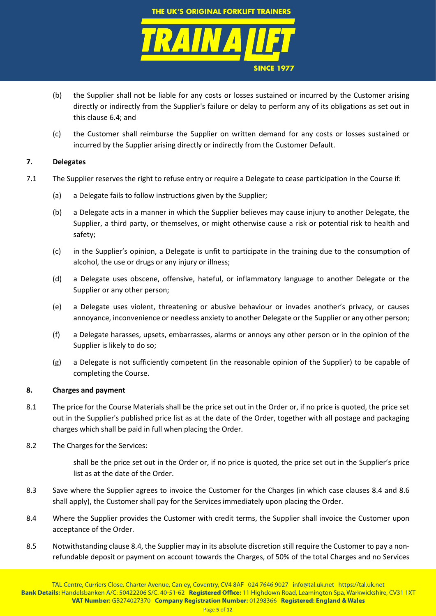

- (b) the Supplier shall not be liable for any costs or losses sustained or incurred by the Customer arising directly or indirectly from the Supplier's failure or delay to perform any of its obligations as set out in this claus[e 6.4;](#page-3-0) and
- (c) the Customer shall reimburse the Supplier on written demand for any costs or losses sustained or incurred by the Supplier arising directly or indirectly from the Customer Default.

# <span id="page-4-4"></span>**7. Delegates**

- 7.1 The Supplier reserves the right to refuse entry or require a Delegate to cease participation in the Course if:
	- (a) a Delegate fails to follow instructions given by the Supplier;
	- (b) a Delegate acts in a manner in which the Supplier believes may cause injury to another Delegate, the Supplier, a third party, or themselves, or might otherwise cause a risk or potential risk to health and safety;
	- (c) in the Supplier's opinion, a Delegate is unfit to participate in the training due to the consumption of alcohol, the use or drugs or any injury or illness;
	- (d) a Delegate uses obscene, offensive, hateful, or inflammatory language to another Delegate or the Supplier or any other person;
	- (e) a Delegate uses violent, threatening or abusive behaviour or invades another's privacy, or causes annoyance, inconvenience or needless anxiety to another Delegate or the Supplier or any other person;
	- (f) a Delegate harasses, upsets, embarrasses, alarms or annoys any other person or in the opinion of the Supplier is likely to do so;
	- (g) a Delegate is not sufficiently competent (in the reasonable opinion of the Supplier) to be capable of completing the Course.

## <span id="page-4-0"></span>**8. Charges and payment**

- 8.1 The price for the Course Materials shall be the price set out in the Order or, if no price is quoted, the price set out in the Supplier's published price list as at the date of the Order, together with all postage and packaging charges which shall be paid in full when placing the Order.
- 8.2 The Charges for the Services:

shall be the price set out in the Order or, if no price is quoted, the price set out in the Supplier's price list as at the date of the Order.

- <span id="page-4-2"></span>8.3 Save where the Supplier agrees to invoice the Customer for the Charges (in which case clauses [8.4](#page-4-1) and [8.6](#page-5-0) shall apply), the Customer shall pay for the Services immediately upon placing the Order.
- <span id="page-4-1"></span>8.4 Where the Supplier provides the Customer with credit terms, the Supplier shall invoice the Customer upon acceptance of the Order.
- <span id="page-4-3"></span>8.5 Notwithstanding clause [8.4,](#page-4-1) the Supplier may in its absolute discretion still require the Customer to pay a nonrefundable deposit or payment on account towards the Charges, of 50% of the total Charges and no Services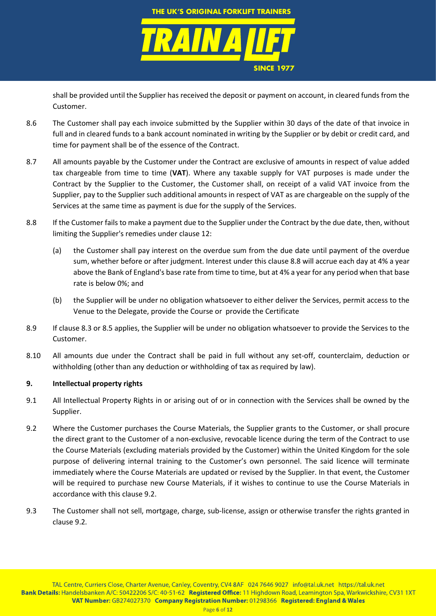

shall be provided until the Supplier has received the deposit or payment on account, in cleared funds from the Customer.

- <span id="page-5-0"></span>8.6 The Customer shall pay each invoice submitted by the Supplier within 30 days of the date of that invoice in full and in cleared funds to a bank account nominated in writing by the Supplier or by debit or credit card, and time for payment shall be of the essence of the Contract.
- 8.7 All amounts payable by the Customer under the Contract are exclusive of amounts in respect of value added tax chargeable from time to time (**VAT**). Where any taxable supply for VAT purposes is made under the Contract by the Supplier to the Customer, the Customer shall, on receipt of a valid VAT invoice from the Supplier, pay to the Supplier such additional amounts in respect of VAT as are chargeable on the supply of the Services at the same time as payment is due for the supply of the Services.
- <span id="page-5-1"></span>8.8 If the Customer fails to make a payment due to the Supplier under the Contract by the due date, then, without limiting the Supplier's remedies under clause [12:](#page-7-0)
	- (a) the Customer shall pay interest on the overdue sum from the due date until payment of the overdue sum, whether before or after judgment. Interest under this claus[e 8.8](#page-5-1) will accrue each day at 4% a year above the Bank of England's base rate from time to time, but at 4% a year for any period when that base rate is below 0%; and
	- (b) the Supplier will be under no obligation whatsoever to either deliver the Services, permit access to the Venue to the Delegate, provide the Course or provide the Certificate
- 8.9 If clause [8.3](#page-4-2) or [8.5](#page-4-3) applies, the Supplier will be under no obligation whatsoever to provide the Services to the Customer.
- 8.10 All amounts due under the Contract shall be paid in full without any set-off, counterclaim, deduction or withholding (other than any deduction or withholding of tax as required by law).

# **9. Intellectual property rights**

- 9.1 All Intellectual Property Rights in or arising out of or in connection with the Services shall be owned by the Supplier.
- <span id="page-5-2"></span>9.2 Where the Customer purchases the Course Materials, the Supplier grants to the Customer, or shall procure the direct grant to the Customer of a non-exclusive, revocable licence during the term of the Contract to use the Course Materials (excluding materials provided by the Customer) within the United Kingdom for the sole purpose of delivering internal training to the Customer's own personnel. The said licence will terminate immediately where the Course Materials are updated or revised by the Supplier. In that event, the Customer will be required to purchase new Course Materials, if it wishes to continue to use the Course Materials in accordance with this clause [9.2.](#page-5-2)
- 9.3 The Customer shall not sell, mortgage, charge, sub-license, assign or otherwise transfer the rights granted in claus[e 9.2](#page-5-2)*.*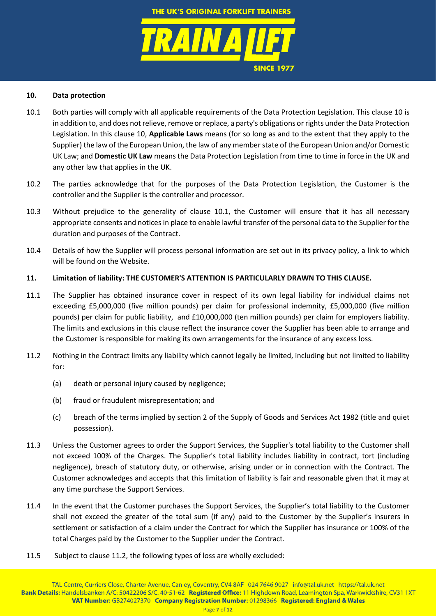

**SINCE 1977**

### <span id="page-6-1"></span>**10. Data protection**

- <span id="page-6-2"></span>10.1 Both parties will comply with all applicable requirements of the Data Protection Legislation. This clause [10](#page-6-1) is in addition to, and does not relieve, remove or replace, a party's obligations or rights under the Data Protection Legislation. In this clause [10,](#page-6-1) **Applicable Laws** means (for so long as and to the extent that they apply to the Supplier) the law of the European Union, the law of any member state of the European Union and/or Domestic UK Law; and **Domestic UK Law** means the Data Protection Legislation from time to time in force in the UK and any other law that applies in the UK.
- 10.2 The parties acknowledge that for the purposes of the Data Protection Legislation, the Customer is the controller and the Supplier is the controller and processor.
- 10.3 Without prejudice to the generality of clause [10.1,](#page-6-2) the Customer will ensure that it has all necessary appropriate consents and notices in place to enable lawful transfer of the personal data to the Supplier for the duration and purposes of the Contract.
- 10.4 Details of how the Supplier will process personal information are set out in its privacy policy, a link to which will be found on the Website.

#### <span id="page-6-0"></span>**11. Limitation of liability: THE CUSTOMER'S ATTENTION IS PARTICULARLY DRAWN TO THIS CLAUSE.**

- 11.1 The Supplier has obtained insurance cover in respect of its own legal liability for individual claims not exceeding £5,000,000 (five million pounds) per claim for professional indemnity, £5,000,000 (five million pounds) per claim for public liability, and £10,000,000 (ten million pounds) per claim for employers liability. The limits and exclusions in this clause reflect the insurance cover the Supplier has been able to arrange and the Customer is responsible for making its own arrangements for the insurance of any excess loss.
- <span id="page-6-3"></span>11.2 Nothing in the Contract limits any liability which cannot legally be limited, including but not limited to liability for:
	- (a) death or personal injury caused by negligence;
	- (b) fraud or fraudulent misrepresentation; and
	- (c) breach of the terms implied by section 2 of the Supply of Goods and Services Act 1982 (title and quiet possession).
- 11.3 Unless the Customer agrees to order the Support Services, the Supplier's total liability to the Customer shall not exceed 100% of the Charges. The Supplier's total liability includes liability in contract, tort (including negligence), breach of statutory duty, or otherwise, arising under or in connection with the Contract. The Customer acknowledges and accepts that this limitation of liability is fair and reasonable given that it may at any time purchase the Support Services.
- 11.4 In the event that the Customer purchases the Support Services, the Supplier's total liability to the Customer shall not exceed the greater of the total sum (if any) paid to the Customer by the Supplier's insurers in settlement or satisfaction of a claim under the Contract for which the Supplier has insurance or 100% of the total Charges paid by the Customer to the Supplier under the Contract.
- 11.5 Subject to claus[e 11.2,](#page-6-3) the following types of loss are wholly excluded: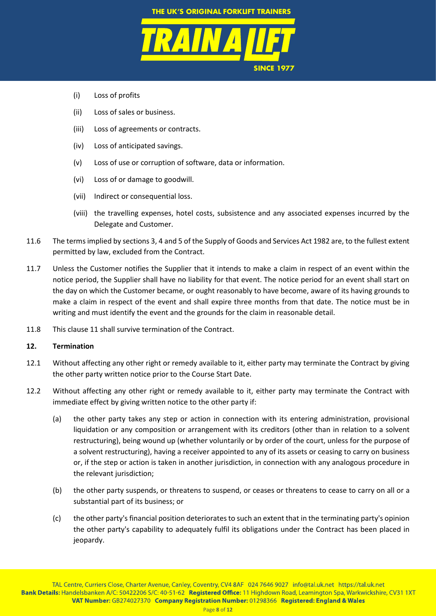

- (i) Loss of profits
- (ii) Loss of sales or business.
- (iii) Loss of agreements or contracts.
- (iv) Loss of anticipated savings.
- (v) Loss of use or corruption of software, data or information.
- (vi) Loss of or damage to goodwill.
- (vii) Indirect or consequential loss.
- (viii) the travelling expenses, hotel costs, subsistence and any associated expenses incurred by the Delegate and Customer.
- 11.6 The terms implied by sections 3, 4 and 5 of the Supply of Goods and Services Act 1982 are, to the fullest extent permitted by law, excluded from the Contract.
- 11.7 Unless the Customer notifies the Supplier that it intends to make a claim in respect of an event within the notice period, the Supplier shall have no liability for that event. The notice period for an event shall start on the day on which the Customer became, or ought reasonably to have become, aware of its having grounds to make a claim in respect of the event and shall expire three months from that date. The notice must be in writing and must identify the event and the grounds for the claim in reasonable detail.
- 11.8 This clause [11](#page-6-0) shall survive termination of the Contract.

## <span id="page-7-0"></span>**12. Termination**

- <span id="page-7-3"></span>12.1 Without affecting any other right or remedy available to it, either party may terminate the Contract by giving the other party written notice prior to the Course Start Date.
- <span id="page-7-2"></span><span id="page-7-1"></span>12.2 Without affecting any other right or remedy available to it, either party may terminate the Contract with immediate effect by giving written notice to the other party if:
	- (a) the other party takes any step or action in connection with its entering administration, provisional liquidation or any composition or arrangement with its creditors (other than in relation to a solvent restructuring), being wound up (whether voluntarily or by order of the court, unless for the purpose of a solvent restructuring), having a receiver appointed to any of its assets or ceasing to carry on business or, if the step or action is taken in another jurisdiction, in connection with any analogous procedure in the relevant jurisdiction;
	- (b) the other party suspends, or threatens to suspend, or ceases or threatens to cease to carry on all or a substantial part of its business; or
	- (c) the other party's financial position deteriorates to such an extent that in the terminating party's opinion the other party's capability to adequately fulfil its obligations under the Contract has been placed in jeopardy.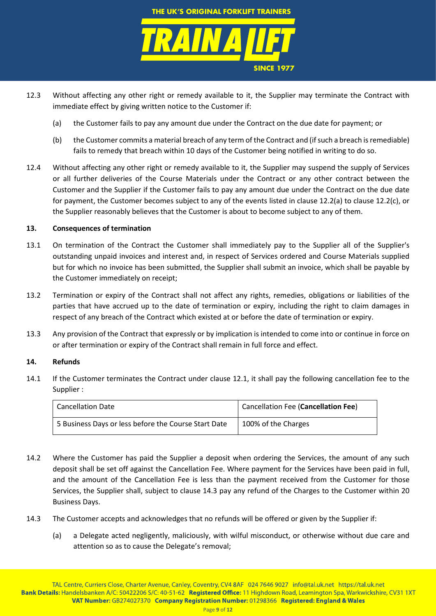

- 12.3 Without affecting any other right or remedy available to it, the Supplier may terminate the Contract with immediate effect by giving written notice to the Customer if:
	- (a) the Customer fails to pay any amount due under the Contract on the due date for payment; or
	- (b) the Customer commits a material breach of any term of the Contract and (if such a breach is remediable) fails to remedy that breach within 10 days of the Customer being notified in writing to do so.
- 12.4 Without affecting any other right or remedy available to it, the Supplier may suspend the supply of Services or all further deliveries of the Course Materials under the Contract or any other contract between the Customer and the Supplier if the Customer fails to pay any amount due under the Contract on the due date for payment, the Customer becomes subject to any of the events listed in clause [12.2\(a\)](#page-7-1) to clause [12.2\(c\),](#page-7-2) or the Supplier reasonably believes that the Customer is about to become subject to any of them.

# **13. Consequences of termination**

- 13.1 On termination of the Contract the Customer shall immediately pay to the Supplier all of the Supplier's outstanding unpaid invoices and interest and, in respect of Services ordered and Course Materials supplied but for which no invoice has been submitted, the Supplier shall submit an invoice, which shall be payable by the Customer immediately on receipt;
- 13.2 Termination or expiry of the Contract shall not affect any rights, remedies, obligations or liabilities of the parties that have accrued up to the date of termination or expiry, including the right to claim damages in respect of any breach of the Contract which existed at or before the date of termination or expiry.
- 13.3 Any provision of the Contract that expressly or by implication is intended to come into or continue in force on or after termination or expiry of the Contract shall remain in full force and effect.

## **14. Refunds**

14.1 If the Customer terminates the Contract under clause [12.1,](#page-7-3) it shall pay the following cancellation fee to the Supplier :

| <b>Cancellation Date</b>                             | <sup>1</sup> Cancellation Fee (Cancellation Fee) |
|------------------------------------------------------|--------------------------------------------------|
| 5 Business Days or less before the Course Start Date | 100% of the Charges                              |

- 14.2 Where the Customer has paid the Supplier a deposit when ordering the Services, the amount of any such deposit shall be set off against the Cancellation Fee. Where payment for the Services have been paid in full, and the amount of the Cancellation Fee is less than the payment received from the Customer for those Services, the Supplier shall, subject to clause [14.3](#page-8-0) pay any refund of the Charges to the Customer within 20 Business Days.
- <span id="page-8-0"></span>14.3 The Customer accepts and acknowledges that no refunds will be offered or given by the Supplier if:
	- (a) a Delegate acted negligently, maliciously, with wilful misconduct, or otherwise without due care and attention so as to cause the Delegate's removal;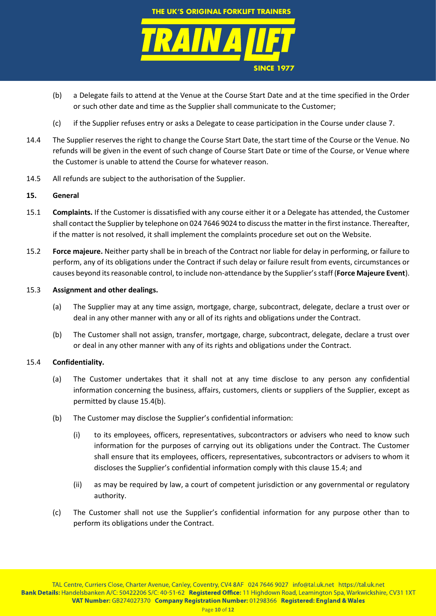

- (b) a Delegate fails to attend at the Venue at the Course Start Date and at the time specified in the Order or such other date and time as the Supplier shall communicate to the Customer;
- (c) if the Supplier refuses entry or asks a Delegate to cease participation in the Course under clause [7.](#page-4-4)
- 14.4 The Supplier reserves the right to change the Course Start Date, the start time of the Course or the Venue. No refunds will be given in the event of such change of Course Start Date or time of the Course, or Venue where the Customer is unable to attend the Course for whatever reason.
- 14.5 All refunds are subject to the authorisation of the Supplier.

# **15. General**

- <span id="page-9-0"></span>15.1 **Complaints.** If the Customer is dissatisfied with any course either it or a Delegate has attended, the Customer shall contact the Supplier by telephone on 024 7646 9024 to discuss the matter in the first instance. Thereafter, if the matter is not resolved, it shall implement the complaints procedure set out on the Website.
- 15.2 **Force majeure.** Neither party shall be in breach of the Contract nor liable for delay in performing, or failure to perform, any of its obligations under the Contract if such delay or failure result from events, circumstances or causes beyond its reasonable control, to include non-attendance by the Supplier's staff (**Force Majeure Event**).

## 15.3 **Assignment and other dealings.**

- (a) The Supplier may at any time assign, mortgage, charge, subcontract, delegate, declare a trust over or deal in any other manner with any or all of its rights and obligations under the Contract.
- (b) The Customer shall not assign, transfer, mortgage, charge, subcontract, delegate, declare a trust over or deal in any other manner with any of its rights and obligations under the Contract.

# <span id="page-9-2"></span>15.4 **Confidentiality.**

- (a) The Customer undertakes that it shall not at any time disclose to any person any confidential information concerning the business, affairs, customers, clients or suppliers of the Supplier, except as permitted by claus[e 15.4\(b\).](#page-9-1)
- <span id="page-9-1"></span>(b) The Customer may disclose the Supplier's confidential information:
	- (i) to its employees, officers, representatives, subcontractors or advisers who need to know such information for the purposes of carrying out its obligations under the Contract. The Customer shall ensure that its employees, officers, representatives, subcontractors or advisers to whom it discloses the Supplier's confidential information comply with this clause [15.4;](#page-9-2) and
	- (ii) as may be required by law, a court of competent jurisdiction or any governmental or regulatory authority.
- (c) The Customer shall not use the Supplier's confidential information for any purpose other than to perform its obligations under the Contract.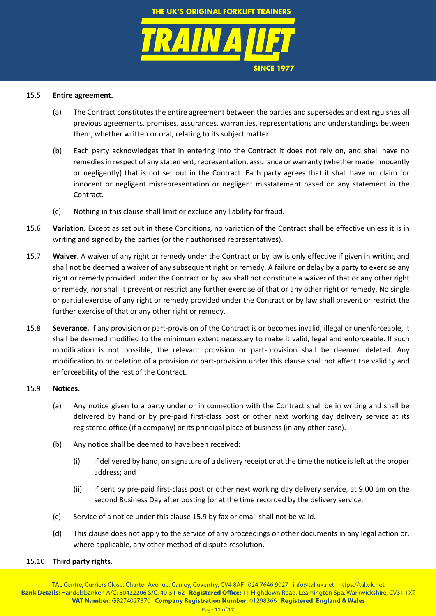#### 15.5 **Entire agreement.**

(a) The Contract constitutes the entire agreement between the parties and supersedes and extinguishes all previous agreements, promises, assurances, warranties, representations and understandings between them, whether written or oral, relating to its subject matter.

**SINCE 1977**

- (b) Each party acknowledges that in entering into the Contract it does not rely on, and shall have no remedies in respect of any statement, representation, assurance or warranty (whether made innocently or negligently) that is not set out in the Contract. Each party agrees that it shall have no claim for innocent or negligent misrepresentation or negligent misstatement based on any statement in the Contract.
- (c) Nothing in this clause shall limit or exclude any liability for fraud.
- <span id="page-10-0"></span>15.6 **Variation.** Except as set out in these Conditions, no variation of the Contract shall be effective unless it is in writing and signed by the parties (or their authorised representatives).
- 15.7 **Waiver**. A waiver of any right or remedy under the Contract or by law is only effective if given in writing and shall not be deemed a waiver of any subsequent right or remedy. A failure or delay by a party to exercise any right or remedy provided under the Contract or by law shall not constitute a waiver of that or any other right or remedy, nor shall it prevent or restrict any further exercise of that or any other right or remedy. No single or partial exercise of any right or remedy provided under the Contract or by law shall prevent or restrict the further exercise of that or any other right or remedy.
- 15.8 **Severance.** If any provision or part-provision of the Contract is or becomes invalid, illegal or unenforceable, it shall be deemed modified to the minimum extent necessary to make it valid, legal and enforceable. If such modification is not possible, the relevant provision or part-provision shall be deemed deleted. Any modification to or deletion of a provision or part-provision under this clause shall not affect the validity and enforceability of the rest of the Contract.

## <span id="page-10-1"></span>15.9 **Notices.**

- (a) Any notice given to a party under or in connection with the Contract shall be in writing and shall be delivered by hand or by pre-paid first-class post or other next working day delivery service at its registered office (if a company) or its principal place of business (in any other case).
- (b) Any notice shall be deemed to have been received:
	- (i) if delivered by hand, on signature of a delivery receipt or at the time the notice is left at the proper address; and
	- (ii) if sent by pre-paid first-class post or other next working day delivery service, at 9.00 am on the second Business Day after posting [or at the time recorded by the delivery service.
- (c) Service of a notice under this clause [15.9](#page-10-1) by fax or email shall not be valid.
- (d) This clause does not apply to the service of any proceedings or other documents in any legal action or, where applicable, any other method of dispute resolution.

#### 15.10 **Third party rights.**